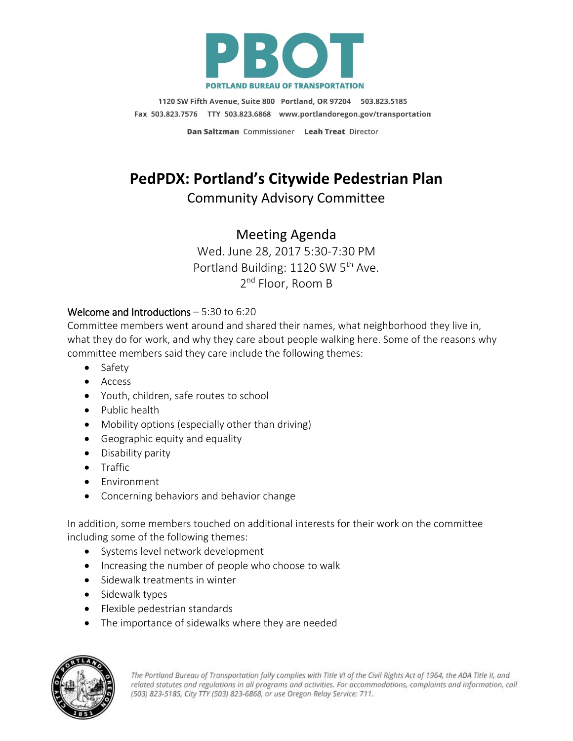

1120 SW Fifth Avenue, Suite 800 Portland, OR 97204 503.823.5185 Fax 503.823.7576 TTY 503.823.6868 www.portlandoregon.gov/transportation

Dan Saltzman Commissioner Leah Treat Director

# **PedPDX: Portland's Citywide Pedestrian Plan**

## Community Advisory Committee

## Meeting Agenda

Wed. June 28, 2017 5:30-7:30 PM Portland Building: 1120 SW 5<sup>th</sup> Ave. 2<sup>nd</sup> Floor, Room B

#### Welcome and Introductions – 5:30 to 6:20

Committee members went around and shared their names, what neighborhood they live in, what they do for work, and why they care about people walking here. Some of the reasons why committee members said they care include the following themes:

- Safety
- Access
- Youth, children, safe routes to school
- Public health
- Mobility options (especially other than driving)
- Geographic equity and equality
- Disability parity
- Traffic
- Environment
- Concerning behaviors and behavior change

In addition, some members touched on additional interests for their work on the committee including some of the following themes:

- Systems level network development
- Increasing the number of people who choose to walk
- Sidewalk treatments in winter
- Sidewalk types
- Flexible pedestrian standards
- The importance of sidewalks where they are needed



The Portland Bureau of Transportation fully complies with Title VI of the Civil Rights Act of 1964, the ADA Title II, and related statutes and regulations in all programs and activities. For accommodations, complaints and information, call (503) 823-5185, City TTY (503) 823-6868, or use Oregon Relay Service: 711.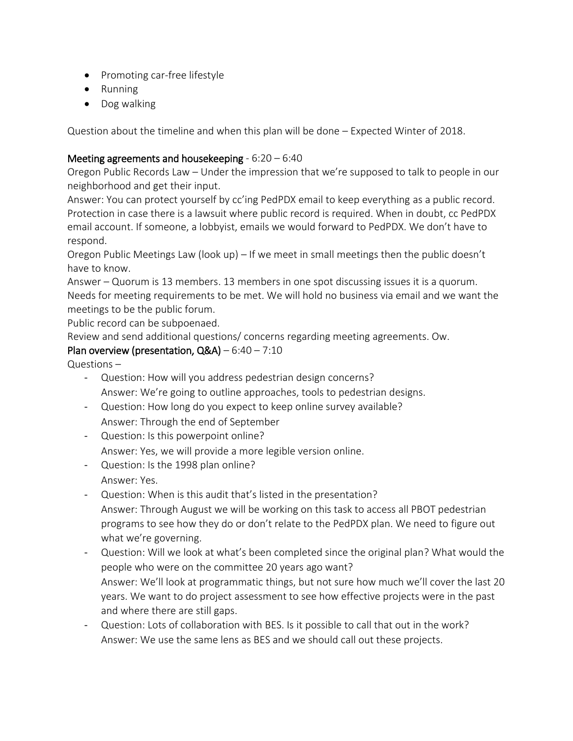- Promoting car-free lifestyle
- Running
- Dog walking

Question about the timeline and when this plan will be done – Expected Winter of 2018.

### Meeting agreements and housekeeping - 6:20 – 6:40

Oregon Public Records Law – Under the impression that we're supposed to talk to people in our neighborhood and get their input.

Answer: You can protect yourself by cc'ing PedPDX email to keep everything as a public record. Protection in case there is a lawsuit where public record is required. When in doubt, cc PedPDX email account. If someone, a lobbyist, emails we would forward to PedPDX. We don't have to respond.

Oregon Public Meetings Law (look up) – If we meet in small meetings then the public doesn't have to know.

Answer – Quorum is 13 members. 13 members in one spot discussing issues it is a quorum. Needs for meeting requirements to be met. We will hold no business via email and we want the meetings to be the public forum.

Public record can be subpoenaed.

Review and send additional questions/ concerns regarding meeting agreements. Ow.

#### Plan overview (presentation,  $Q&A) - 6:40 - 7:10$

Questions –

- Question: How will you address pedestrian design concerns? Answer: We're going to outline approaches, tools to pedestrian designs.
- Question: How long do you expect to keep online survey available? Answer: Through the end of September
- Question: Is this powerpoint online? Answer: Yes, we will provide a more legible version online.
- Question: Is the 1998 plan online? Answer: Yes.
- Question: When is this audit that's listed in the presentation? Answer: Through August we will be working on this task to access all PBOT pedestrian programs to see how they do or don't relate to the PedPDX plan. We need to figure out what we're governing.
- Question: Will we look at what's been completed since the original plan? What would the people who were on the committee 20 years ago want? Answer: We'll look at programmatic things, but not sure how much we'll cover the last 20 years. We want to do project assessment to see how effective projects were in the past and where there are still gaps.
- Question: Lots of collaboration with BES. Is it possible to call that out in the work? Answer: We use the same lens as BES and we should call out these projects.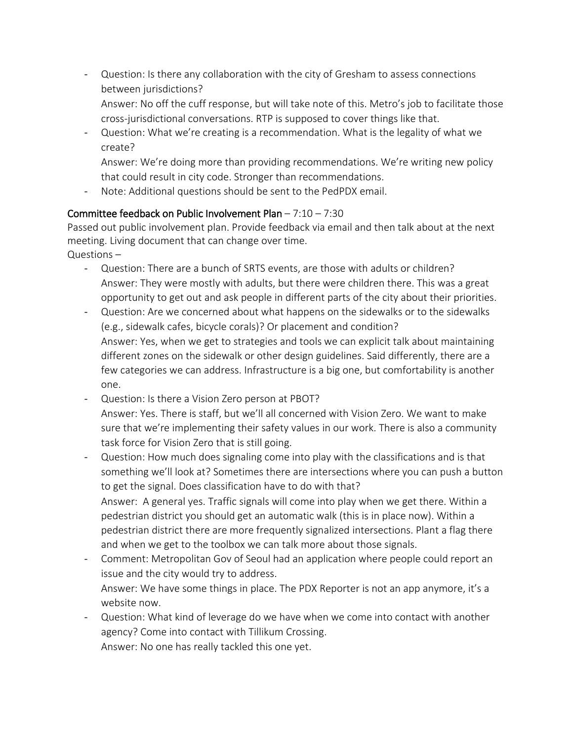- Question: Is there any collaboration with the city of Gresham to assess connections between jurisdictions?
	- Answer: No off the cuff response, but will take note of this. Metro's job to facilitate those cross-jurisdictional conversations. RTP is supposed to cover things like that.
- Question: What we're creating is a recommendation. What is the legality of what we create?

Answer: We're doing more than providing recommendations. We're writing new policy that could result in city code. Stronger than recommendations.

Note: Additional questions should be sent to the PedPDX email.

#### Committee feedback on Public Involvement Plan – 7:10 – 7:30

Passed out public involvement plan. Provide feedback via email and then talk about at the next meeting. Living document that can change over time.

Questions –

- Question: There are a bunch of SRTS events, are those with adults or children? Answer: They were mostly with adults, but there were children there. This was a great opportunity to get out and ask people in different parts of the city about their priorities.
- Question: Are we concerned about what happens on the sidewalks or to the sidewalks (e.g., sidewalk cafes, bicycle corals)? Or placement and condition? Answer: Yes, when we get to strategies and tools we can explicit talk about maintaining different zones on the sidewalk or other design guidelines. Said differently, there are a few categories we can address. Infrastructure is a big one, but comfortability is another one.
- Question: Is there a Vision Zero person at PBOT? Answer: Yes. There is staff, but we'll all concerned with Vision Zero. We want to make sure that we're implementing their safety values in our work. There is also a community task force for Vision Zero that is still going.
- Question: How much does signaling come into play with the classifications and is that something we'll look at? Sometimes there are intersections where you can push a button to get the signal. Does classification have to do with that?

Answer: A general yes. Traffic signals will come into play when we get there. Within a pedestrian district you should get an automatic walk (this is in place now). Within a pedestrian district there are more frequently signalized intersections. Plant a flag there and when we get to the toolbox we can talk more about those signals.

- Comment: Metropolitan Gov of Seoul had an application where people could report an issue and the city would try to address. Answer: We have some things in place. The PDX Reporter is not an app anymore, it's a website now.
- Question: What kind of leverage do we have when we come into contact with another agency? Come into contact with Tillikum Crossing. Answer: No one has really tackled this one yet.